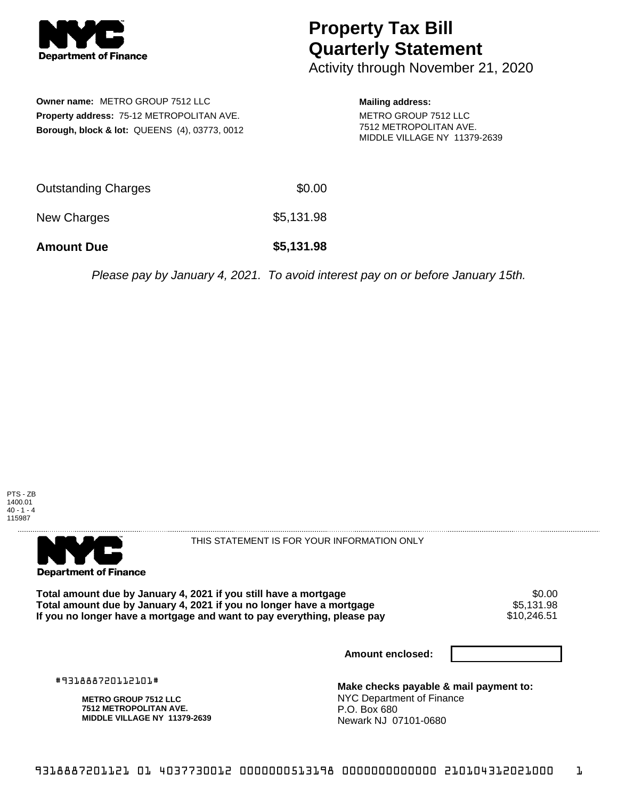

## **Property Tax Bill Quarterly Statement**

Activity through November 21, 2020

**Owner name:** METRO GROUP 7512 LLC **Property address:** 75-12 METROPOLITAN AVE. **Borough, block & lot:** QUEENS (4), 03773, 0012

## **Mailing address:** METRO GROUP 7512 LLC 7512 METROPOLITAN AVE. MIDDLE VILLAGE NY 11379-2639

| <b>Amount Due</b>   | \$5,131.98 |
|---------------------|------------|
| New Charges         | \$5,131.98 |
| Outstanding Charges | \$0.00     |

Please pay by January 4, 2021. To avoid interest pay on or before January 15th.





THIS STATEMENT IS FOR YOUR INFORMATION ONLY

Total amount due by January 4, 2021 if you still have a mortgage  $$6.00$ <br>Total amount due by January 4, 2021 if you no longer have a mortgage  $$5,131.98$ **Total amount due by January 4, 2021 if you no longer have a mortgage** \$5,131.98 If you no longer have a mortgage and want to pay everything, please pay

**Amount enclosed:**

#931888720112101#

**METRO GROUP 7512 LLC 7512 METROPOLITAN AVE. MIDDLE VILLAGE NY 11379-2639**

**Make checks payable & mail payment to:** NYC Department of Finance P.O. Box 680 Newark NJ 07101-0680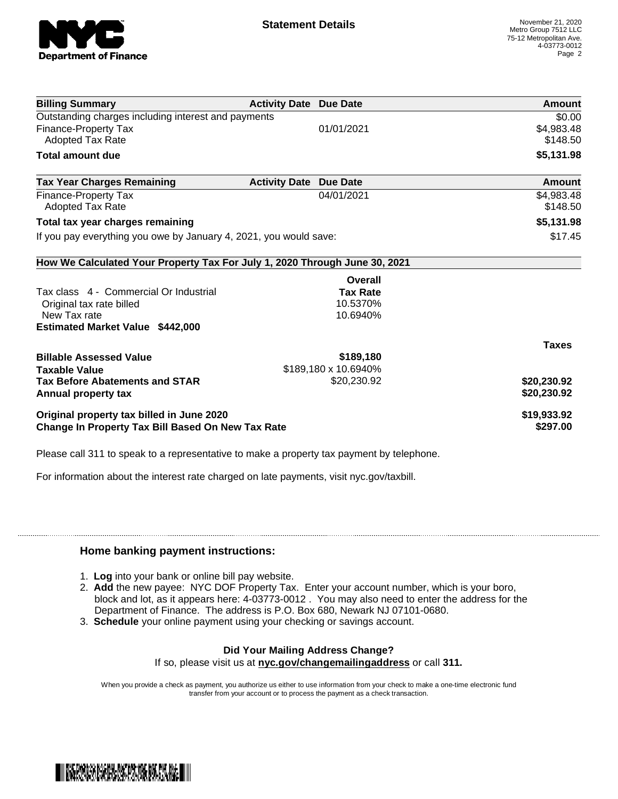

| <b>Billing Summary</b>                                                     | <b>Activity Date Due Date</b> |                      | Amount        |
|----------------------------------------------------------------------------|-------------------------------|----------------------|---------------|
| Outstanding charges including interest and payments                        |                               |                      | \$0.00        |
| Finance-Property Tax                                                       |                               | 01/01/2021           | \$4,983.48    |
| Adopted Tax Rate                                                           |                               |                      | \$148.50      |
| <b>Total amount due</b>                                                    |                               |                      | \$5,131.98    |
| <b>Tax Year Charges Remaining</b>                                          | <b>Activity Date</b>          | Due Date             | <b>Amount</b> |
| Finance-Property Tax                                                       |                               | 04/01/2021           | \$4,983.48    |
| Adopted Tax Rate                                                           |                               |                      | \$148.50      |
| Total tax year charges remaining                                           |                               |                      | \$5,131.98    |
| If you pay everything you owe by January 4, 2021, you would save:          |                               |                      | \$17.45       |
| How We Calculated Your Property Tax For July 1, 2020 Through June 30, 2021 |                               |                      |               |
|                                                                            |                               | Overall              |               |
| Tax class 4 - Commercial Or Industrial                                     |                               | <b>Tax Rate</b>      |               |
| Original tax rate billed                                                   |                               | 10.5370%             |               |
| New Tax rate                                                               |                               | 10.6940%             |               |
| <b>Estimated Market Value \$442,000</b>                                    |                               |                      |               |
|                                                                            |                               |                      | <b>Taxes</b>  |
| <b>Billable Assessed Value</b>                                             |                               | \$189,180            |               |
| <b>Taxable Value</b>                                                       |                               | \$189,180 x 10.6940% |               |
| <b>Tax Before Abatements and STAR</b>                                      |                               | \$20,230.92          | \$20,230.92   |
| Annual property tax                                                        |                               |                      | \$20,230.92   |
| Original property tax billed in June 2020                                  |                               |                      | \$19,933.92   |
| <b>Change In Property Tax Bill Based On New Tax Rate</b>                   |                               |                      | \$297.00      |

Please call 311 to speak to a representative to make a property tax payment by telephone.

For information about the interest rate charged on late payments, visit nyc.gov/taxbill.

## **Home banking payment instructions:**

- 1. **Log** into your bank or online bill pay website.
- 2. **Add** the new payee: NYC DOF Property Tax. Enter your account number, which is your boro, block and lot, as it appears here: 4-03773-0012 . You may also need to enter the address for the Department of Finance. The address is P.O. Box 680, Newark NJ 07101-0680.
- 3. **Schedule** your online payment using your checking or savings account.

## **Did Your Mailing Address Change?**

If so, please visit us at **nyc.gov/changemailingaddress** or call **311.**

When you provide a check as payment, you authorize us either to use information from your check to make a one-time electronic fund transfer from your account or to process the payment as a check transaction.